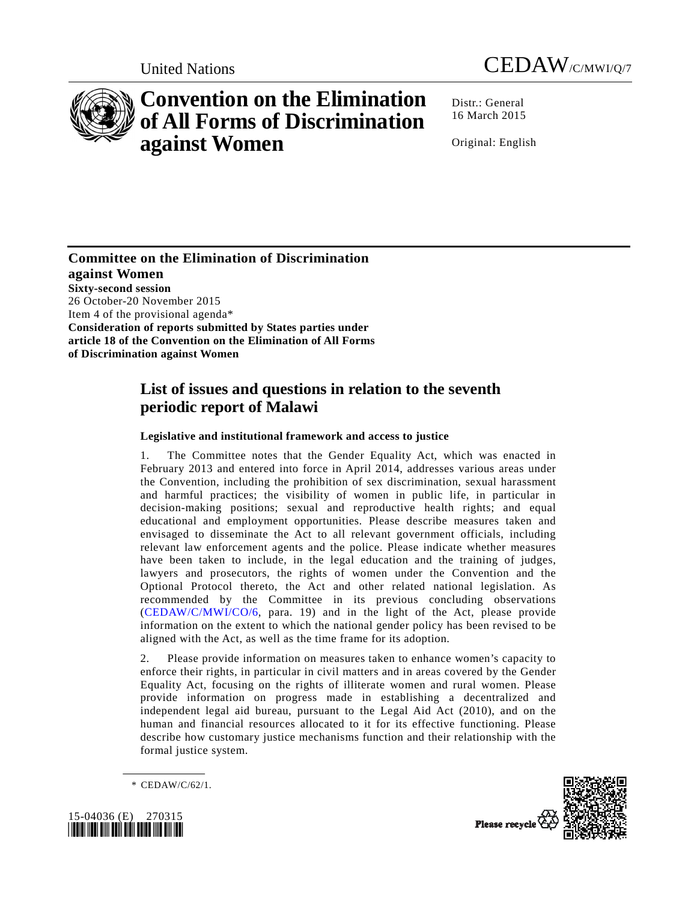



# **Convention on the Elimination of All Forms of Discrimination against Women**

Distr.: General 16 March 2015

Original: English

**Committee on the Elimination of Discrimination against Women Sixty-second session**  26 October-20 November 2015 Item 4 of the provisional agenda\* **Consideration of reports submitted by States parties under article 18 of the Convention on the Elimination of All Forms of Discrimination against Women** 

# **List of issues and questions in relation to the seventh periodic report of Malawi**

### **Legislative and institutional framework and access to justice**

1. The Committee notes that the Gender Equality Act, which was enacted in February 2013 and entered into force in April 2014, addresses various areas under the Convention, including the prohibition of sex discrimination, sexual harassment and harmful practices; the visibility of women in public life, in particular in decision-making positions; sexual and reproductive health rights; and equal educational and employment opportunities. Please describe measures taken and envisaged to disseminate the Act to all relevant government officials, including relevant law enforcement agents and the police. Please indicate whether measures have been taken to include, in the legal education and the training of judges, lawyers and prosecutors, the rights of women under the Convention and the Optional Protocol thereto, the Act and other related national legislation. As recommended by the Committee in its previous concluding observations (CEDAW/C/MWI/CO/6, para. 19) and in the light of the Act, please provide information on the extent to which the national gender policy has been revised to be aligned with the Act, as well as the time frame for its adoption.

2. Please provide information on measures taken to enhance women's capacity to enforce their rights, in particular in civil matters and in areas covered by the Gender Equality Act, focusing on the rights of illiterate women and rural women. Please provide information on progress made in establishing a decentralized and independent legal aid bureau, pursuant to the Legal Aid Act (2010), and on the human and financial resources allocated to it for its effective functioning. Please describe how customary justice mechanisms function and their relationship with the formal justice system.





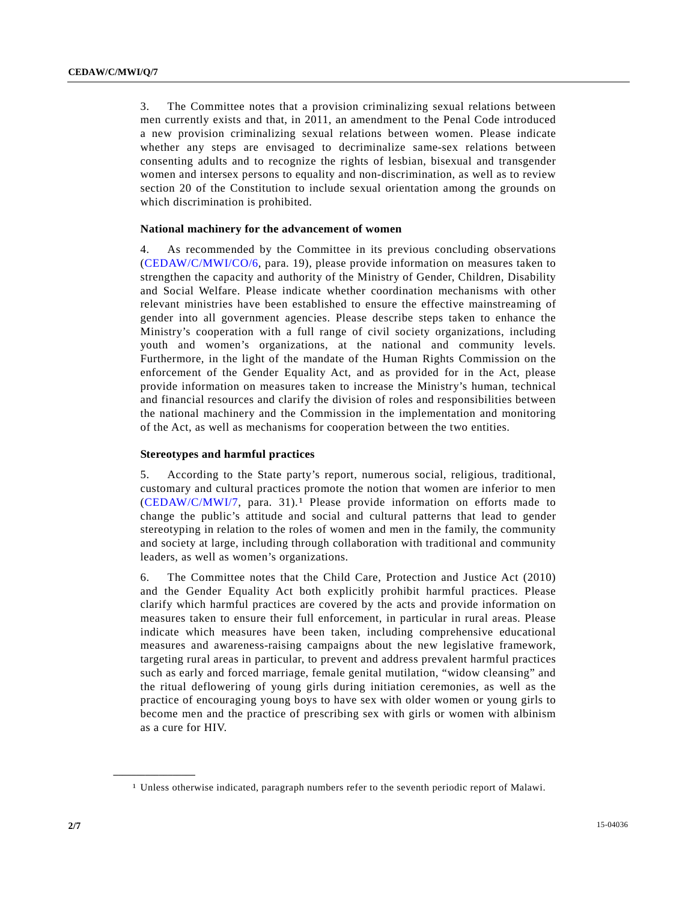3. The Committee notes that a provision criminalizing sexual relations between men currently exists and that, in 2011, an amendment to the Penal Code introduced a new provision criminalizing sexual relations between women. Please indicate whether any steps are envisaged to decriminalize same-sex relations between consenting adults and to recognize the rights of lesbian, bisexual and transgender women and intersex persons to equality and non-discrimination, as well as to review section 20 of the Constitution to include sexual orientation among the grounds on which discrimination is prohibited.

#### **National machinery for the advancement of women**

4. As recommended by the Committee in its previous concluding observations (CEDAW/C/MWI/CO/6, para. 19), please provide information on measures taken to strengthen the capacity and authority of the Ministry of Gender, Children, Disability and Social Welfare. Please indicate whether coordination mechanisms with other relevant ministries have been established to ensure the effective mainstreaming of gender into all government agencies. Please describe steps taken to enhance the Ministry's cooperation with a full range of civil society organizations, including youth and women's organizations, at the national and community levels. Furthermore, in the light of the mandate of the Human Rights Commission on the enforcement of the Gender Equality Act, and as provided for in the Act, please provide information on measures taken to increase the Ministry's human, technical and financial resources and clarify the division of roles and responsibilities between the national machinery and the Commission in the implementation and monitoring of the Act, as well as mechanisms for cooperation between the two entities.

#### **Stereotypes and harmful practices**

5. According to the State party's report, numerous social, religious, traditional, customary and cultural practices promote the notion that women are inferior to men (CEDAW/C/MWI/7, para. 31).1 Please provide information on efforts made to change the public's attitude and social and cultural patterns that lead to gender stereotyping in relation to the roles of women and men in the family, the community and society at large, including through collaboration with traditional and community leaders, as well as women's organizations.

6. The Committee notes that the Child Care, Protection and Justice Act (2010) and the Gender Equality Act both explicitly prohibit harmful practices. Please clarify which harmful practices are covered by the acts and provide information on measures taken to ensure their full enforcement, in particular in rural areas. Please indicate which measures have been taken, including comprehensive educational measures and awareness-raising campaigns about the new legislative framework, targeting rural areas in particular, to prevent and address prevalent harmful practices such as early and forced marriage, female genital mutilation, "widow cleansing" and the ritual deflowering of young girls during initiation ceremonies, as well as the practice of encouraging young boys to have sex with older women or young girls to become men and the practice of prescribing sex with girls or women with albinism as a cure for HIV.

**\_\_\_\_\_\_\_\_\_\_\_\_\_\_\_\_\_\_** 

<sup>1</sup> Unless otherwise indicated, paragraph numbers refer to the seventh periodic report of Malawi.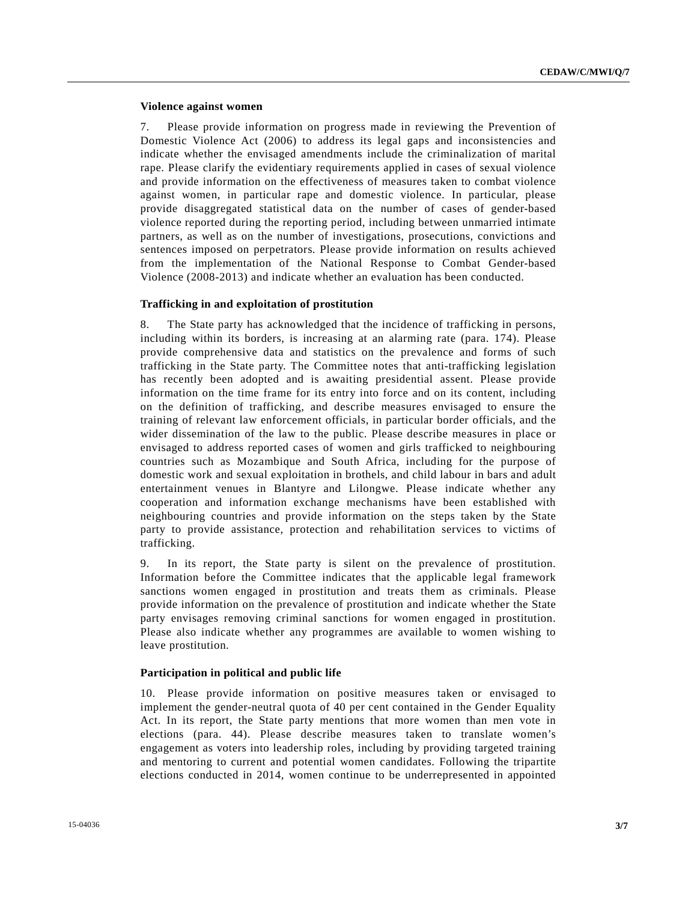#### **Violence against women**

7. Please provide information on progress made in reviewing the Prevention of Domestic Violence Act (2006) to address its legal gaps and inconsistencies and indicate whether the envisaged amendments include the criminalization of marital rape. Please clarify the evidentiary requirements applied in cases of sexual violence and provide information on the effectiveness of measures taken to combat violence against women, in particular rape and domestic violence. In particular, please provide disaggregated statistical data on the number of cases of gender-based violence reported during the reporting period, including between unmarried intimate partners, as well as on the number of investigations, prosecutions, convictions and sentences imposed on perpetrators. Please provide information on results achieved from the implementation of the National Response to Combat Gender-based Violence (2008-2013) and indicate whether an evaluation has been conducted.

#### **Trafficking in and exploitation of prostitution**

8. The State party has acknowledged that the incidence of trafficking in persons, including within its borders, is increasing at an alarming rate (para. 174). Please provide comprehensive data and statistics on the prevalence and forms of such trafficking in the State party. The Committee notes that anti-trafficking legislation has recently been adopted and is awaiting presidential assent. Please provide information on the time frame for its entry into force and on its content, including on the definition of trafficking, and describe measures envisaged to ensure the training of relevant law enforcement officials, in particular border officials, and the wider dissemination of the law to the public. Please describe measures in place or envisaged to address reported cases of women and girls trafficked to neighbouring countries such as Mozambique and South Africa, including for the purpose of domestic work and sexual exploitation in brothels, and child labour in bars and adult entertainment venues in Blantyre and Lilongwe. Please indicate whether any cooperation and information exchange mechanisms have been established with neighbouring countries and provide information on the steps taken by the State party to provide assistance, protection and rehabilitation services to victims of trafficking.

9. In its report, the State party is silent on the prevalence of prostitution. Information before the Committee indicates that the applicable legal framework sanctions women engaged in prostitution and treats them as criminals. Please provide information on the prevalence of prostitution and indicate whether the State party envisages removing criminal sanctions for women engaged in prostitution. Please also indicate whether any programmes are available to women wishing to leave prostitution.

#### **Participation in political and public life**

10. Please provide information on positive measures taken or envisaged to implement the gender-neutral quota of 40 per cent contained in the Gender Equality Act. In its report, the State party mentions that more women than men vote in elections (para. 44). Please describe measures taken to translate women's engagement as voters into leadership roles, including by providing targeted training and mentoring to current and potential women candidates. Following the tripartite elections conducted in 2014, women continue to be underrepresented in appointed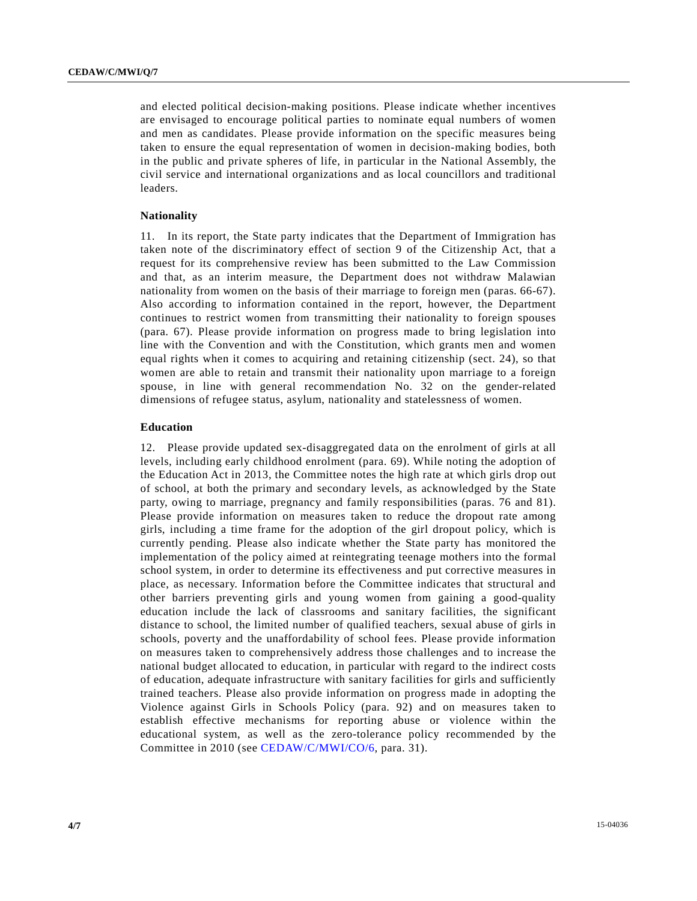and elected political decision-making positions. Please indicate whether incentives are envisaged to encourage political parties to nominate equal numbers of women and men as candidates. Please provide information on the specific measures being taken to ensure the equal representation of women in decision-making bodies, both in the public and private spheres of life, in particular in the National Assembly, the civil service and international organizations and as local councillors and traditional leaders.

#### **Nationality**

11. In its report, the State party indicates that the Department of Immigration has taken note of the discriminatory effect of section 9 of the Citizenship Act, that a request for its comprehensive review has been submitted to the Law Commission and that, as an interim measure, the Department does not withdraw Malawian nationality from women on the basis of their marriage to foreign men (paras. 66-67). Also according to information contained in the report, however, the Department continues to restrict women from transmitting their nationality to foreign spouses (para. 67). Please provide information on progress made to bring legislation into line with the Convention and with the Constitution, which grants men and women equal rights when it comes to acquiring and retaining citizenship (sect. 24), so that women are able to retain and transmit their nationality upon marriage to a foreign spouse, in line with general recommendation No. 32 on the gender-related dimensions of refugee status, asylum, nationality and statelessness of women.

#### **Education**

12. Please provide updated sex-disaggregated data on the enrolment of girls at all levels, including early childhood enrolment (para. 69). While noting the adoption of the Education Act in 2013, the Committee notes the high rate at which girls drop out of school, at both the primary and secondary levels, as acknowledged by the State party, owing to marriage, pregnancy and family responsibilities (paras. 76 and 81). Please provide information on measures taken to reduce the dropout rate among girls, including a time frame for the adoption of the girl dropout policy, which is currently pending. Please also indicate whether the State party has monitored the implementation of the policy aimed at reintegrating teenage mothers into the formal school system, in order to determine its effectiveness and put corrective measures in place, as necessary. Information before the Committee indicates that structural and other barriers preventing girls and young women from gaining a good-quality education include the lack of classrooms and sanitary facilities, the significant distance to school, the limited number of qualified teachers, sexual abuse of girls in schools, poverty and the unaffordability of school fees. Please provide information on measures taken to comprehensively address those challenges and to increase the national budget allocated to education, in particular with regard to the indirect costs of education, adequate infrastructure with sanitary facilities for girls and sufficiently trained teachers. Please also provide information on progress made in adopting the Violence against Girls in Schools Policy (para. 92) and on measures taken to establish effective mechanisms for reporting abuse or violence within the educational system, as well as the zero-tolerance policy recommended by the Committee in 2010 (see CEDAW/C/MWI/CO/6, para. 31).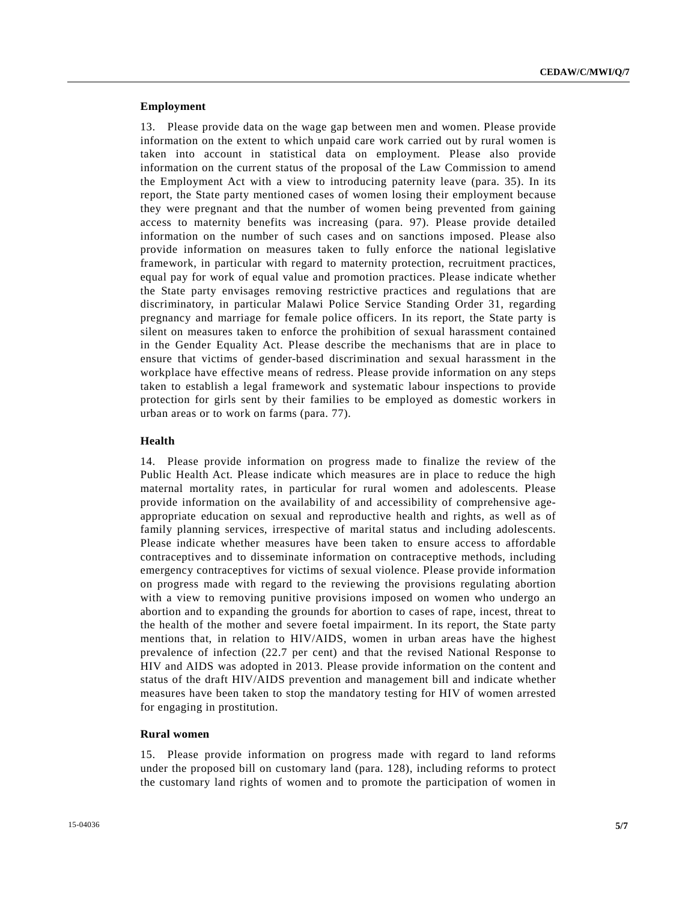#### **Employment**

13. Please provide data on the wage gap between men and women. Please provide information on the extent to which unpaid care work carried out by rural women is taken into account in statistical data on employment. Please also provide information on the current status of the proposal of the Law Commission to amend the Employment Act with a view to introducing paternity leave (para. 35). In its report, the State party mentioned cases of women losing their employment because they were pregnant and that the number of women being prevented from gaining access to maternity benefits was increasing (para. 97). Please provide detailed information on the number of such cases and on sanctions imposed. Please also provide information on measures taken to fully enforce the national legislative framework, in particular with regard to maternity protection, recruitment practices, equal pay for work of equal value and promotion practices. Please indicate whether the State party envisages removing restrictive practices and regulations that are discriminatory, in particular Malawi Police Service Standing Order 31, regarding pregnancy and marriage for female police officers. In its report, the State party is silent on measures taken to enforce the prohibition of sexual harassment contained in the Gender Equality Act. Please describe the mechanisms that are in place to ensure that victims of gender-based discrimination and sexual harassment in the workplace have effective means of redress. Please provide information on any steps taken to establish a legal framework and systematic labour inspections to provide protection for girls sent by their families to be employed as domestic workers in urban areas or to work on farms (para. 77).

#### **Health**

14. Please provide information on progress made to finalize the review of the Public Health Act. Please indicate which measures are in place to reduce the high maternal mortality rates, in particular for rural women and adolescents. Please provide information on the availability of and accessibility of comprehensive ageappropriate education on sexual and reproductive health and rights, as well as of family planning services, irrespective of marital status and including adolescents. Please indicate whether measures have been taken to ensure access to affordable contraceptives and to disseminate information on contraceptive methods, including emergency contraceptives for victims of sexual violence. Please provide information on progress made with regard to the reviewing the provisions regulating abortion with a view to removing punitive provisions imposed on women who undergo an abortion and to expanding the grounds for abortion to cases of rape, incest, threat to the health of the mother and severe foetal impairment. In its report, the State party mentions that, in relation to HIV/AIDS, women in urban areas have the highest prevalence of infection (22.7 per cent) and that the revised National Response to HIV and AIDS was adopted in 2013. Please provide information on the content and status of the draft HIV/AIDS prevention and management bill and indicate whether measures have been taken to stop the mandatory testing for HIV of women arrested for engaging in prostitution.

#### **Rural women**

15. Please provide information on progress made with regard to land reforms under the proposed bill on customary land (para. 128), including reforms to protect the customary land rights of women and to promote the participation of women in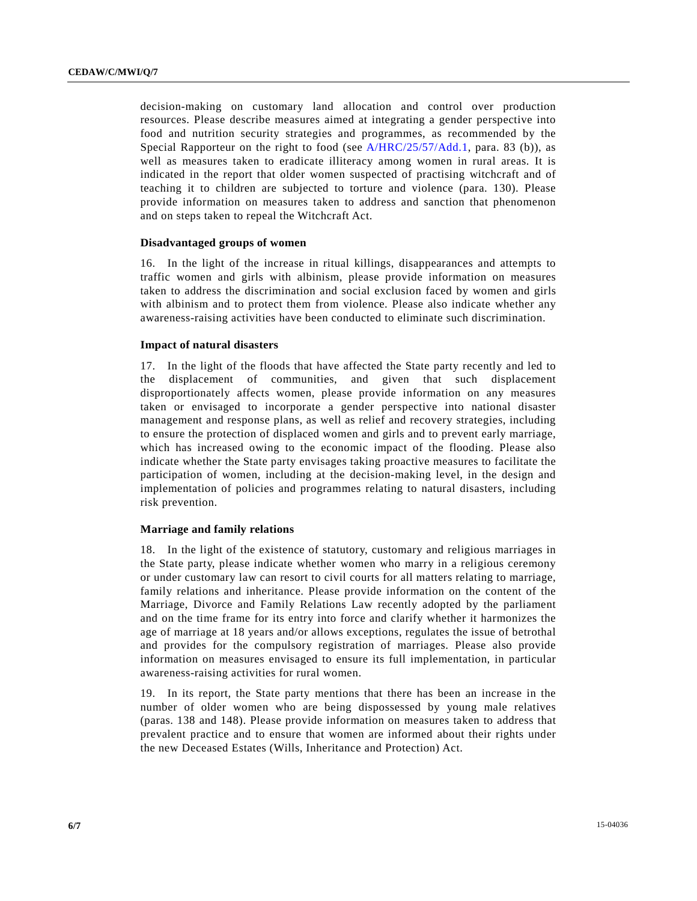decision-making on customary land allocation and control over production resources. Please describe measures aimed at integrating a gender perspective into food and nutrition security strategies and programmes, as recommended by the Special Rapporteur on the right to food (see A/HRC/25/57/Add.1, para. 83 (b)), as well as measures taken to eradicate illiteracy among women in rural areas. It is indicated in the report that older women suspected of practising witchcraft and of teaching it to children are subjected to torture and violence (para. 130). Please provide information on measures taken to address and sanction that phenomenon and on steps taken to repeal the Witchcraft Act.

#### **Disadvantaged groups of women**

16. In the light of the increase in ritual killings, disappearances and attempts to traffic women and girls with albinism, please provide information on measures taken to address the discrimination and social exclusion faced by women and girls with albinism and to protect them from violence. Please also indicate whether any awareness-raising activities have been conducted to eliminate such discrimination.

#### **Impact of natural disasters**

17. In the light of the floods that have affected the State party recently and led to the displacement of communities, and given that such displacement disproportionately affects women, please provide information on any measures taken or envisaged to incorporate a gender perspective into national disaster management and response plans, as well as relief and recovery strategies, including to ensure the protection of displaced women and girls and to prevent early marriage, which has increased owing to the economic impact of the flooding. Please also indicate whether the State party envisages taking proactive measures to facilitate the participation of women, including at the decision-making level, in the design and implementation of policies and programmes relating to natural disasters, including risk prevention.

#### **Marriage and family relations**

18. In the light of the existence of statutory, customary and religious marriages in the State party, please indicate whether women who marry in a religious ceremony or under customary law can resort to civil courts for all matters relating to marriage, family relations and inheritance. Please provide information on the content of the Marriage, Divorce and Family Relations Law recently adopted by the parliament and on the time frame for its entry into force and clarify whether it harmonizes the age of marriage at 18 years and/or allows exceptions, regulates the issue of betrothal and provides for the compulsory registration of marriages. Please also provide information on measures envisaged to ensure its full implementation, in particular awareness-raising activities for rural women.

19. In its report, the State party mentions that there has been an increase in the number of older women who are being dispossessed by young male relatives (paras. 138 and 148). Please provide information on measures taken to address that prevalent practice and to ensure that women are informed about their rights under the new Deceased Estates (Wills, Inheritance and Protection) Act.